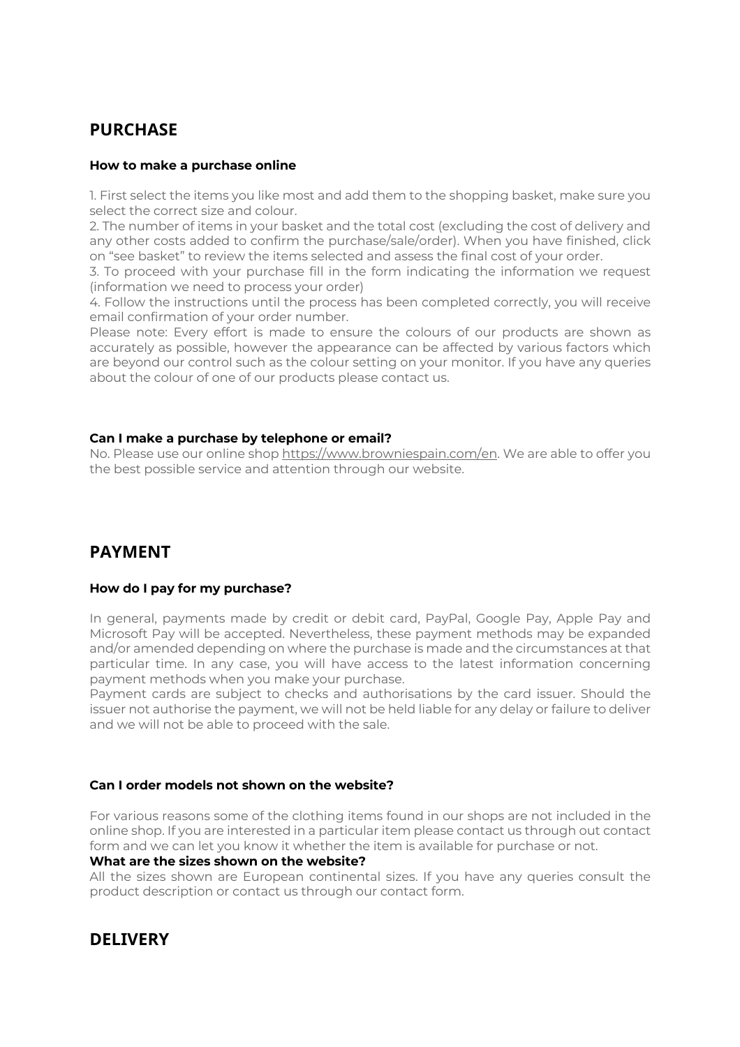# **PURCHASE**

## **How to make a purchase online**

1. First select the items you like most and add them to the shopping basket, make sure you select the correct size and colour.

2. The number of items in your basket and the total cost (excluding the cost of delivery and any other costs added to confirm the purchase/sale/order). When you have finished, click on "see basket" to review the items selected and assess the final cost of your order.

3. To proceed with your purchase fill in the form indicating the information we request (information we need to process your order)

4. Follow the instructions until the process has been completed correctly, you will receive email confirmation of your order number.

Please note: Every effort is made to ensure the colours of our products are shown as accurately as possible, however the appearance can be affected by various factors which are beyond our control such as the colour setting on your monitor. If you have any queries about the colour of one of our products please contact us.

## **Can I make a purchase by telephone or email?**

No. Please use our online shop https://www.browniespain.com/en. We are able to offer you the best possible service and attention through our website.

## **PAYMENT**

## **How do I pay for my purchase?**

In general, payments made by credit or debit card, PayPal, Google Pay, Apple Pay and Microsoft Pay will be accepted. Nevertheless, these payment methods may be expanded and/or amended depending on where the purchase is made and the circumstances at that particular time. In any case, you will have access to the latest information concerning payment methods when you make your purchase.

Payment cards are subject to checks and authorisations by the card issuer. Should the issuer not authorise the payment, we will not be held liable for any delay or failure to deliver and we will not be able to proceed with the sale.

## **Can I order models not shown on the website?**

For various reasons some of the clothing items found in our shops are not included in the online shop. If you are interested in a particular item please contact us through out contact form and we can let you know it whether the item is available for purchase or not.

## **What are the sizes shown on the website?**

All the sizes shown are European continental sizes. If you have any queries consult the product description or contact us through our contact form.

## **DELIVERY**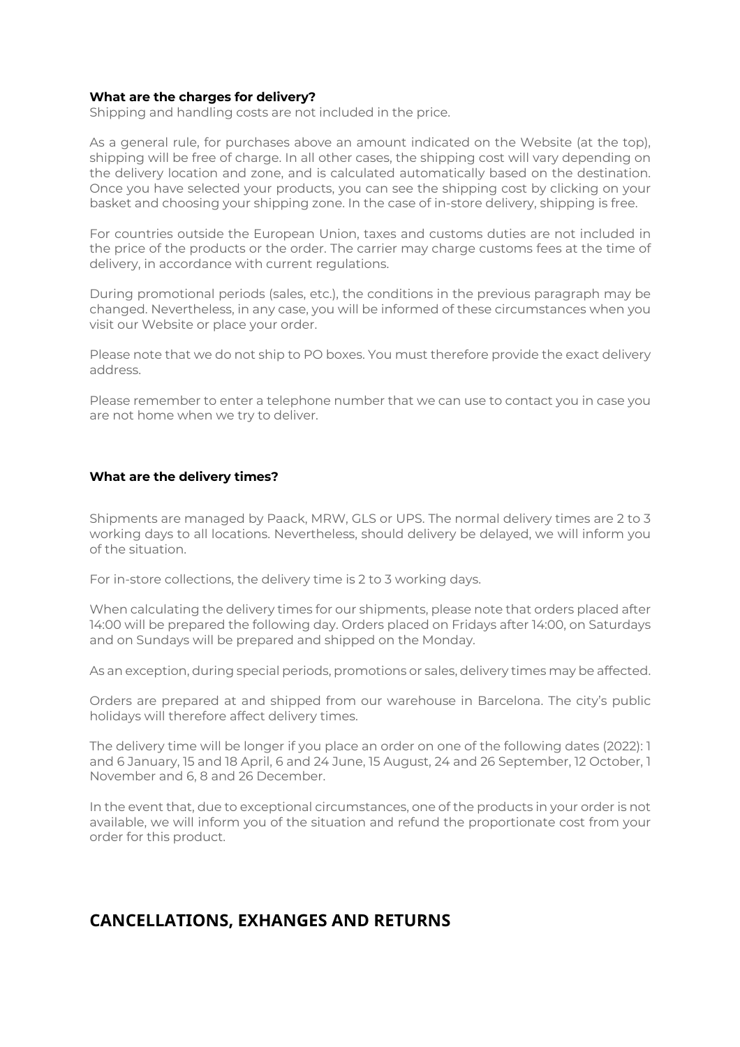## **What are the charges for delivery?**

Shipping and handling costs are not included in the price.

As a general rule, for purchases above an amount indicated on the Website (at the top), shipping will be free of charge. In all other cases, the shipping cost will vary depending on the delivery location and zone, and is calculated automatically based on the destination. Once you have selected your products, you can see the shipping cost by clicking on your basket and choosing your shipping zone. In the case of in-store delivery, shipping is free.

For countries outside the European Union, taxes and customs duties are not included in the price of the products or the order. The carrier may charge customs fees at the time of delivery, in accordance with current regulations.

During promotional periods (sales, etc.), the conditions in the previous paragraph may be changed. Nevertheless, in any case, you will be informed of these circumstances when you visit our Website or place your order.

Please note that we do not ship to PO boxes. You must therefore provide the exact delivery address.

Please remember to enter a telephone number that we can use to contact you in case you are not home when we try to deliver.

#### **What are the delivery times?**

Shipments are managed by Paack, MRW, GLS or UPS. The normal delivery times are 2 to 3 working days to all locations. Nevertheless, should delivery be delayed, we will inform you of the situation.

For in-store collections, the delivery time is 2 to 3 working days.

When calculating the delivery times for our shipments, please note that orders placed after 14:00 will be prepared the following day. Orders placed on Fridays after 14:00, on Saturdays and on Sundays will be prepared and shipped on the Monday.

As an exception, during special periods, promotions or sales, delivery times may be affected.

Orders are prepared at and shipped from our warehouse in Barcelona. The city's public holidays will therefore affect delivery times.

The delivery time will be longer if you place an order on one of the following dates (2022): 1 and 6 January, 15 and 18 April, 6 and 24 June, 15 August, 24 and 26 September, 12 October, 1 November and 6, 8 and 26 December.

In the event that, due to exceptional circumstances, one of the products in your order is not available, we will inform you of the situation and refund the proportionate cost from your order for this product.

## **CANCELLATIONS, EXHANGES AND RETURNS**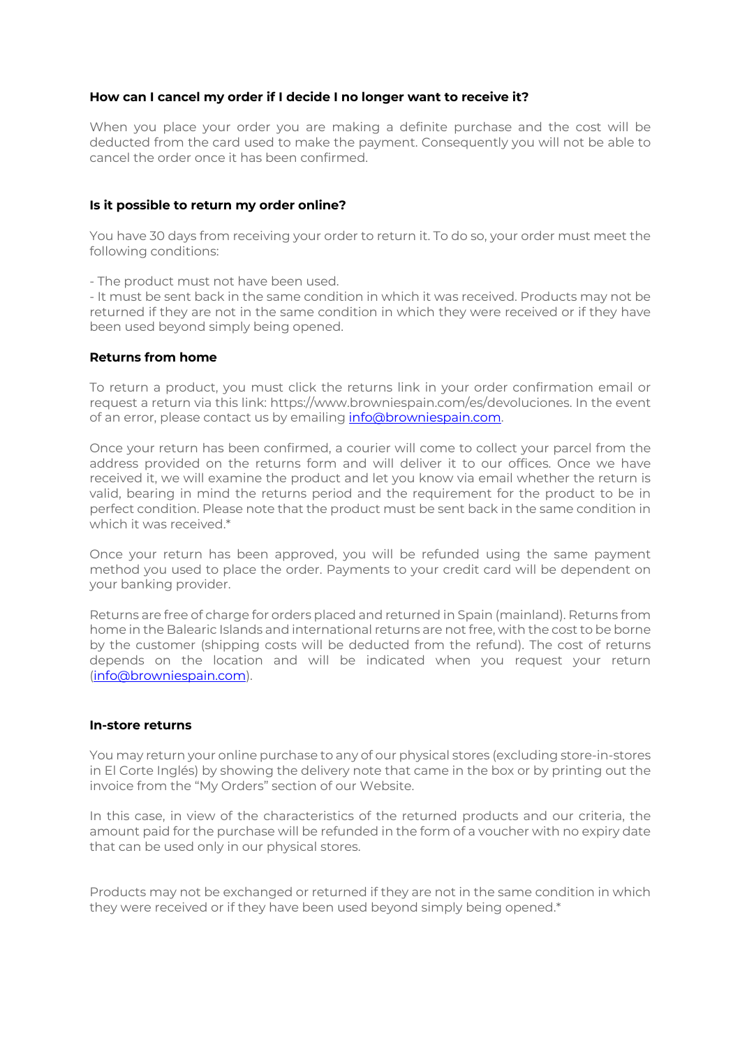## **How can I cancel my order if I decide I no longer want to receive it?**

When you place your order you are making a definite purchase and the cost will be deducted from the card used to make the payment. Consequently you will not be able to cancel the order once it has been confirmed.

### **Is it possible to return my order online?**

You have 30 days from receiving your order to return it. To do so, your order must meet the following conditions:

- The product must not have been used.

- It must be sent back in the same condition in which it was received. Products may not be returned if they are not in the same condition in which they were received or if they have been used beyond simply being opened.

#### **Returns from home**

To return a product, you must click the returns link in your order confirmation email or request a return via this link: https://www.browniespain.com/es/devoluciones. In the event of an error, please contact us by emailing info@browniespain.com.

Once your return has been confirmed, a courier will come to collect your parcel from the address provided on the returns form and will deliver it to our offices. Once we have received it, we will examine the product and let you know via email whether the return is valid, bearing in mind the returns period and the requirement for the product to be in perfect condition. Please note that the product must be sent back in the same condition in which it was received.\*

Once your return has been approved, you will be refunded using the same payment method you used to place the order. Payments to your credit card will be dependent on your banking provider.

Returns are free of charge for orders placed and returned in Spain (mainland). Returns from home in the Balearic Islands and international returns are not free, with the cost to be borne by the customer (shipping costs will be deducted from the refund). The cost of returns depends on the location and will be indicated when you request your return (info@browniespain.com).

#### **In-store returns**

You may return your online purchase to any of our physical stores (excluding store-in-stores in El Corte Inglés) by showing the delivery note that came in the box or by printing out the invoice from the "My Orders" section of our Website.

In this case, in view of the characteristics of the returned products and our criteria, the amount paid for the purchase will be refunded in the form of a voucher with no expiry date that can be used only in our physical stores.

Products may not be exchanged or returned if they are not in the same condition in which they were received or if they have been used beyond simply being opened.\*